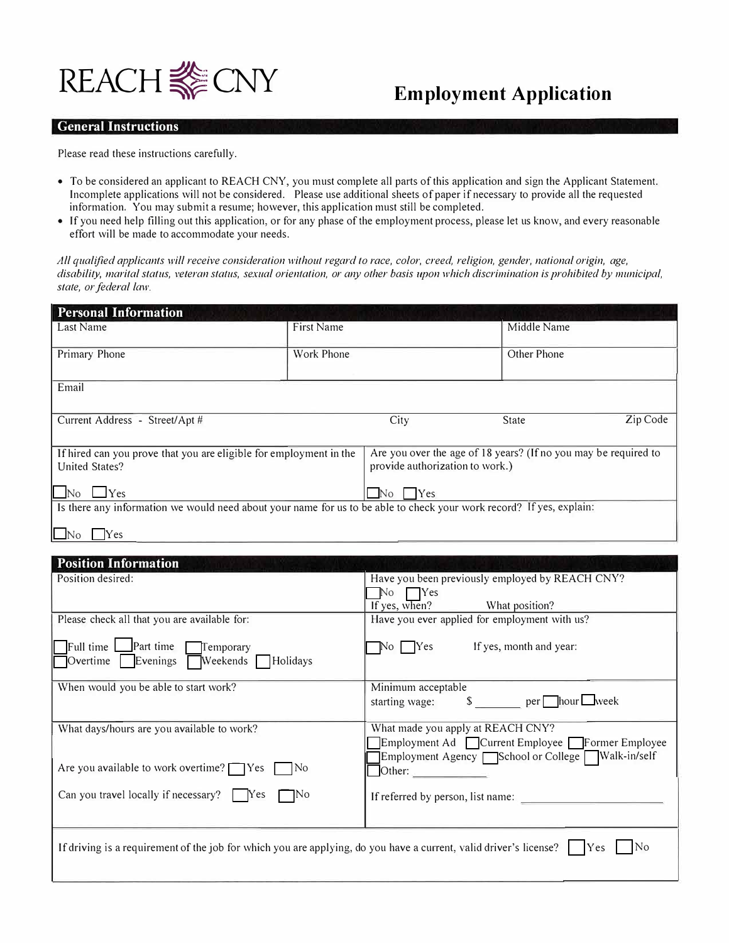

## **General Instructions**

Please read these instructions carefully.

- To be considered an applicant to REACH CNY, you must complete all parts of this application and sign the Applicant Statement. Incomplete applications will not be considered. Please use additional sheets of paper if necessary to provide all the requested information. You may submit a resume; however, this application must still be completed.
- If you need help filling out this application, or for any phase of the employment process, please let us know, and every reasonable effort will be made to accommodate your needs.

*All qualified applicanls will receive consideralion wilhout regard lo race, color, creed, religion, gender, nalional origin, age, disability, marital status, veteran status, sexual orientation, or any other basis upon which discrimination is prohibited by municipal,* state, or federal law.

| <b>Personal Information</b>                                                                                          |            |                                                                                                    |              |          |
|----------------------------------------------------------------------------------------------------------------------|------------|----------------------------------------------------------------------------------------------------|--------------|----------|
| Last Name                                                                                                            | First Name |                                                                                                    | Middle Name  |          |
| Primary Phone                                                                                                        | Work Phone |                                                                                                    | Other Phone  |          |
| Email                                                                                                                |            |                                                                                                    |              |          |
| Current Address - Street/Apt #                                                                                       |            | City                                                                                               | <b>State</b> | Zip Code |
| If hired can you prove that you are eligible for employment in the<br><b>United States?</b>                          |            | Are you over the age of 18 years? (If no you may be required to<br>provide authorization to work.) |              |          |
| $\Box$ Yes<br>$\Box$ No                                                                                              |            | Yes<br>No.                                                                                         |              |          |
| Is there any information we would need about your name for us to be able to check your work record? If yes, explain: |            |                                                                                                    |              |          |
| Yes                                                                                                                  |            |                                                                                                    |              |          |

| <b>Position Information</b>                                                                                                                                      |                                                               |
|------------------------------------------------------------------------------------------------------------------------------------------------------------------|---------------------------------------------------------------|
| Position desired:                                                                                                                                                | Have you been previously employed by REACH CNY?               |
|                                                                                                                                                                  | $\Box$ Yes<br>No                                              |
|                                                                                                                                                                  | If yes, when?<br>What position?                               |
| Please check all that you are available for:                                                                                                                     | Have you ever applied for employment with us?                 |
| Full time<br>Part time<br>Temporary                                                                                                                              | $\overline{N}$ o $\overline{Y}$ es<br>If yes, month and year: |
| Weekends Holidays<br>Evenings<br>Overtime                                                                                                                        |                                                               |
| When would you be able to start work?                                                                                                                            | Minimum acceptable                                            |
|                                                                                                                                                                  | $\frac{1}{2}$ per hour week<br>starting wage:                 |
| What days/hours are you available to work?                                                                                                                       | What made you apply at REACH CNY?                             |
|                                                                                                                                                                  | Employment Ad Current Employee Former Employee                |
|                                                                                                                                                                  | Employment Agency School or College Walk-in/self              |
| Are you available to work overtime? $\Box$ Yes $\Box$ No                                                                                                         | $\bigcirc$ ther:                                              |
| Can you travel locally if necessary? $\Box$ Yes $\Box$ No                                                                                                        | If referred by person, list name:                             |
|                                                                                                                                                                  |                                                               |
| If driving is a requirement of the job for which you are applying, do you have a current, valid driver's license? $\vert \cdot \vert$ Yes $\vert \cdot \vert$ No |                                                               |
|                                                                                                                                                                  |                                                               |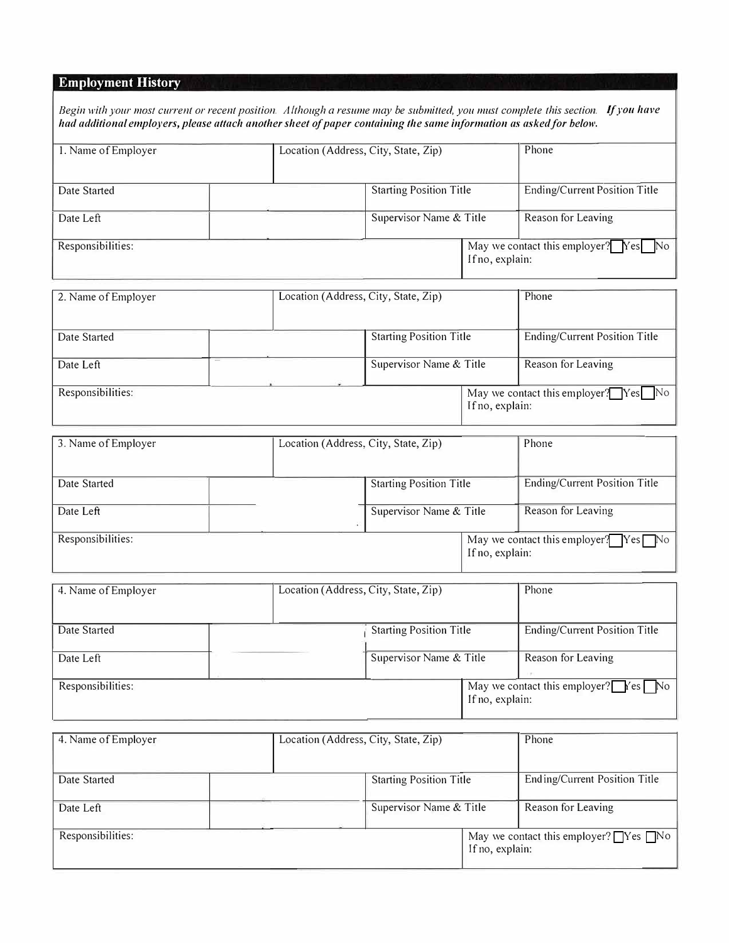# **Employment History**

| Begin with your most current or recent position. Although a resume may be submitted, you must complete this section. If you have |  |
|----------------------------------------------------------------------------------------------------------------------------------|--|
| had additional employers, please attach another sheet of paper containing the same information as asked for below.               |  |

| 1. Name of Employer | Location (Address, City, State, Zip) |                                |                 | Phone                                |
|---------------------|--------------------------------------|--------------------------------|-----------------|--------------------------------------|
| Date Started        |                                      | <b>Starting Position Title</b> |                 | <b>Ending/Current Position Title</b> |
| Date Left           |                                      | Supervisor Name & Title        |                 | Reason for Leaving                   |
| Responsibilities:   |                                      |                                | If no, explain: | May we contact this employer? Yes No |

| 2. Name of Employer | Location (Address, City, State, Zip) |                                |                 | Phone                                |
|---------------------|--------------------------------------|--------------------------------|-----------------|--------------------------------------|
| Date Started        |                                      | <b>Starting Position Title</b> |                 | <b>Ending/Current Position Title</b> |
| Date Left           |                                      | Supervisor Name & Title        |                 | Reason for Leaving                   |
| Responsibilities:   |                                      |                                | If no, explain: | May we contact this employer? Yes No |

| 3. Name of Employer | Location (Address, City, State, Zip) |                                |                 | Phone                                  |
|---------------------|--------------------------------------|--------------------------------|-----------------|----------------------------------------|
| Date Started        |                                      | <b>Starting Position Title</b> |                 | <b>Ending/Current Position Title</b>   |
| Date Left           |                                      | Supervisor Name & Title        |                 | Reason for Leaving                     |
| Responsibilities:   |                                      |                                | If no, explain: | May we contact this employer? $Yes$ No |

| 4. Name of Employer | Location (Address, City, State, Zip) |                                |                 | Phone                                                                     |
|---------------------|--------------------------------------|--------------------------------|-----------------|---------------------------------------------------------------------------|
| Date Started        |                                      | <b>Starting Position Title</b> |                 | Ending/Current Position Title                                             |
| Date Left           |                                      | Supervisor Name & Title        |                 | Reason for Leaving                                                        |
| Responsibilities:   |                                      |                                | If no, explain: | May we contact this employer? $\Gamma$ $\sim$ $\sim$ $\sim$ $\sim$ $\sim$ |

| 4. Name of Employer | Location (Address, City, State, Zip) |                                |                 | Phone                                                    |
|---------------------|--------------------------------------|--------------------------------|-----------------|----------------------------------------------------------|
| Date Started        |                                      | <b>Starting Position Title</b> |                 | Ending/Current Position Title                            |
| Date Left           |                                      | Supervisor Name & Title        |                 | Reason for Leaving                                       |
| Responsibilities:   |                                      |                                | If no, explain: | May we contact this employer? $\bigcap$ Yes $\bigcap$ No |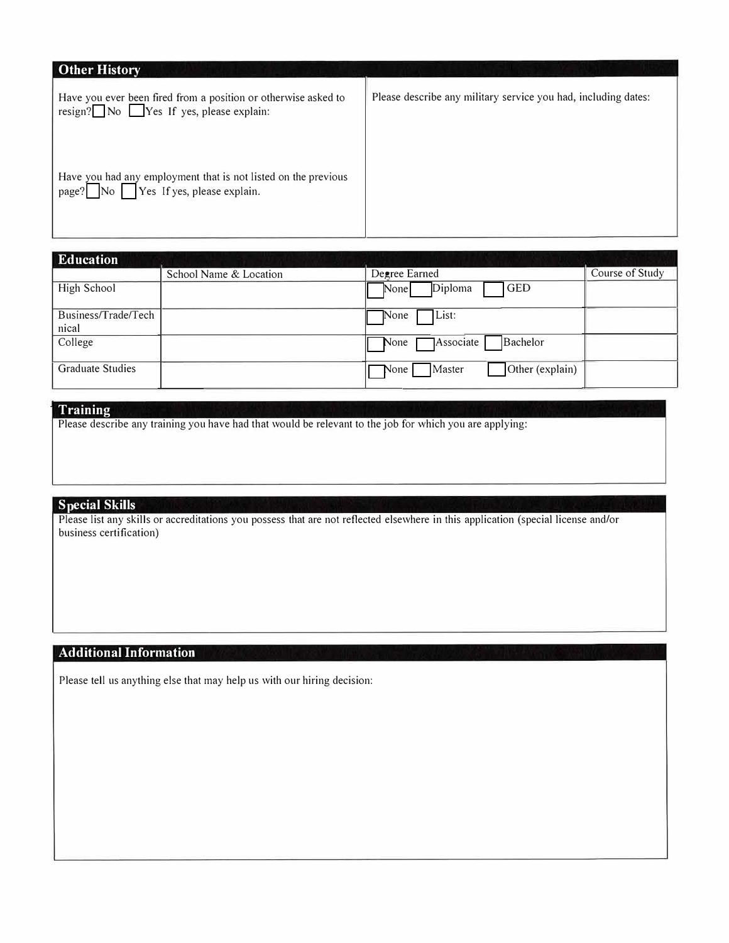| <b>Other History</b>                                                                                       |                                                                |
|------------------------------------------------------------------------------------------------------------|----------------------------------------------------------------|
| Have you ever been fired from a position or otherwise asked to<br>$resign?$ No Yes If yes, please explain: | Please describe any military service you had, including dates: |
| Have you had any employment that is not listed on the previous<br>Yes If yes, please explain.<br>page?     |                                                                |

| <b>Education</b>        |                        |                                   |                 |
|-------------------------|------------------------|-----------------------------------|-----------------|
|                         | School Name & Location | Degree Earned                     | Course of Study |
| High School             |                        | <b>GED</b><br>Diploma<br>None     |                 |
| Business/Trade/Tech     |                        | List:<br>None                     |                 |
| nical                   |                        |                                   |                 |
| College                 |                        | Associate<br>Bachelor<br>None     |                 |
| <b>Graduate Studies</b> |                        | Other (explain)<br>Master<br>None |                 |

## **' Training**

Please describe any training you have had that would be relevant to the job for which you are applying:

# **Special Skills**

Please list any skills or accreditations you possess that are not reflected elsewhere in this application (special license and/or business certification)

# **Additional Information**

Please tell us anything else that may help us with our hiring decision: